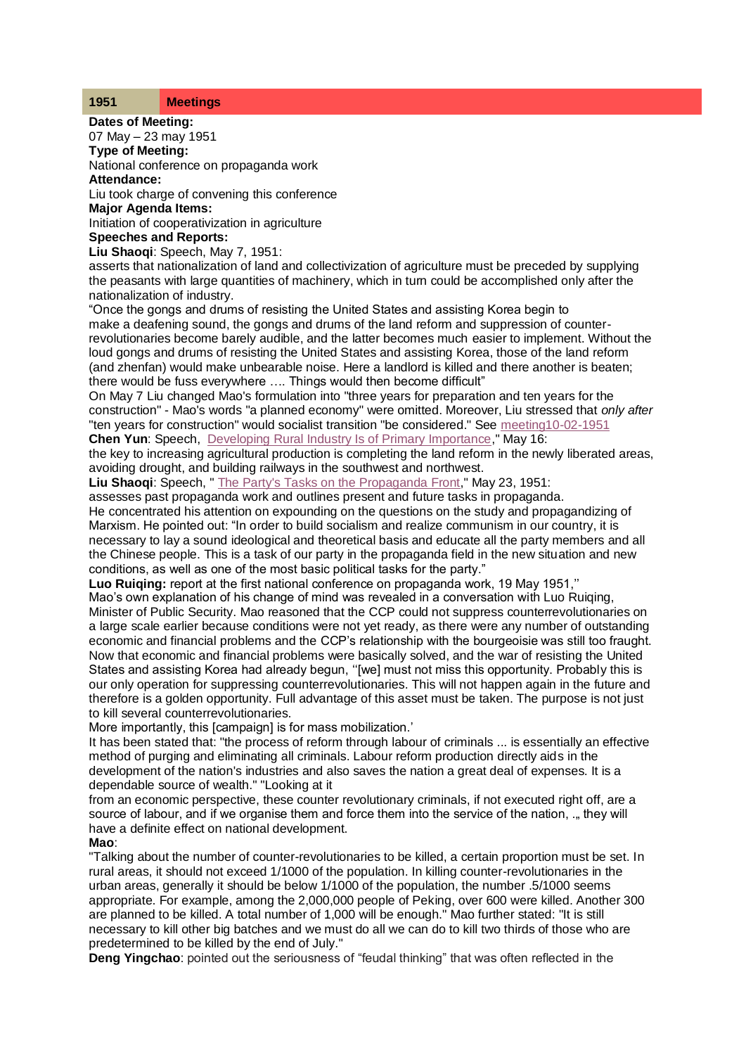### **1951 Meetings**

**Dates of Meeting:** 07 May – 23 may 1951 **Type of Meeting:**

National conference on propaganda work **Attendance:**

Liu took charge of convening this conference

**Major Agenda Items:**

Initiation of cooperativization in agriculture

# **Speeches and Reports:**

**Liu Shaoqi**: Speech, May 7, 1951:

asserts that nationalization of land and collectivization of agriculture must be preceded by supplying the peasants with large quantities of machinery, which in turn could be accomplished only after the nationalization of industry.

"Once the gongs and drums of resisting the United States and assisting Korea begin to make a deafening sound, the gongs and drums of the land reform and suppression of counterrevolutionaries become barely audible, and the latter becomes much easier to implement. Without the loud gongs and drums of resisting the United States and assisting Korea, those of the land reform (and zhenfan) would make unbearable noise. Here a landlord is killed and there another is beaten; there would be fuss everywhere …. Things would then become difficult"

On May 7 Liu changed Mao's formulation into "three years for preparation and ten years for the construction" - Mao's words "a planned economy" were omitted. Moreover, Liu stressed that *only after*  "ten years for construction" would socialist transition "be considered." See [meeting10-02-1951](http://www.commonprogram.science/meeting10021951.html) **Chen Yun**: Speech, [Developing Rural Industry Is of Primary Importance,](http://www.commonprogram.science/documents/16-05-1951.pdf)" May 16:

the key to increasing agricultural production is completing the land reform in the newly liberated areas,

avoiding drought, and building railways in the southwest and northwest.

**Liu Shaoqi**: Speech, [" The Party's Tasks on the Propaganda Front,](http://www.commonprogram.science/documents/propaganda%20meeting.pdf)" May 23, 1951:

assesses past propaganda work and outlines present and future tasks in propaganda.

He concentrated his attention on expounding on the questions on the study and propagandizing of Marxism. He pointed out: "In order to build socialism and realize communism in our country, it is necessary to lay a sound ideological and theoretical basis and educate all the party members and all the Chinese people. This is a task of our party in the propaganda field in the new situation and new conditions, as well as one of the most basic political tasks for the party."

**Luo Ruiqing:** report at the first national conference on propaganda work, 19 May 1951,''

Mao's own explanation of his change of mind was revealed in a conversation with Luo Ruiging. Minister of Public Security. Mao reasoned that the CCP could not suppress counterrevolutionaries on a large scale earlier because conditions were not yet ready, as there were any number of outstanding economic and financial problems and the CCP's relationship with the bourgeoisie was still too fraught. Now that economic and financial problems were basically solved, and the war of resisting the United States and assisting Korea had already begun, ''[we] must not miss this opportunity. Probably this is our only operation for suppressing counterrevolutionaries. This will not happen again in the future and therefore is a golden opportunity. Full advantage of this asset must be taken. The purpose is not just to kill several counterrevolutionaries.

More importantly, this [campaign] is for mass mobilization.'

It has been stated that: "the process of reform through labour of criminals ... is essentially an effective method of purging and eliminating all criminals. Labour reform production directly aids in the development of the nation's industries and also saves the nation a great deal of expenses. It is a dependable source of wealth." "Looking at it

from an economic perspective, these counter revolutionary criminals, if not executed right off, are a source of labour, and if we organise them and force them into the service of the nation, ., they will have a definite effect on national development.

## **Mao**:

"Talking about the number of counter-revolutionaries to be killed, a certain proportion must be set. In rural areas, it should not exceed 1/1000 of the population. In killing counter-revolutionaries in the urban areas, generally it should be below 1/1000 of the population, the number .5/1000 seems appropriate. For example, among the 2,000,000 people of Peking, over 600 were killed. Another 300 are planned to be killed. A total number of 1,000 will be enough." Mao further stated: "It is still necessary to kill other big batches and we must do all we can do to kill two thirds of those who are predetermined to be killed by the end of July."

**Deng Yingchao**: pointed out the seriousness of "feudal thinking" that was often reflected in the